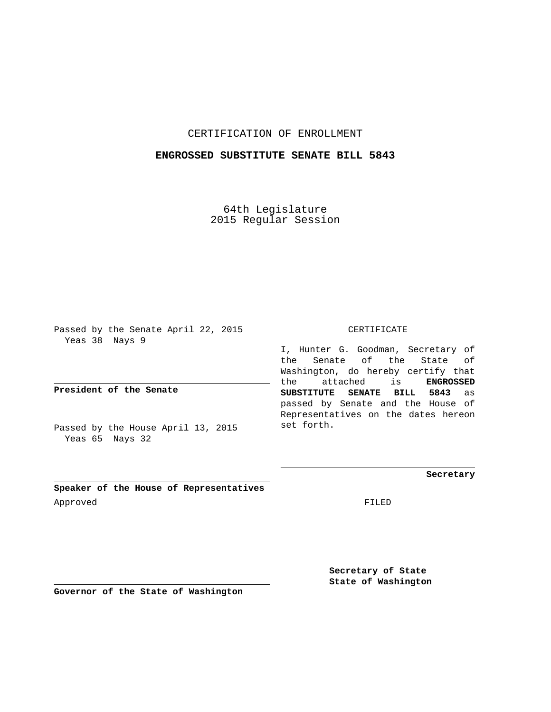## CERTIFICATION OF ENROLLMENT

## **ENGROSSED SUBSTITUTE SENATE BILL 5843**

64th Legislature 2015 Regular Session

Passed by the Senate April 22, 2015 Yeas 38 Nays 9

**President of the Senate**

Passed by the House April 13, 2015 Yeas 65 Nays 32

CERTIFICATE

I, Hunter G. Goodman, Secretary of the Senate of the State of Washington, do hereby certify that the attached is **ENGROSSED SUBSTITUTE SENATE BILL 5843** as passed by Senate and the House of Representatives on the dates hereon set forth.

**Secretary**

**Speaker of the House of Representatives** Approved FILED

**Secretary of State State of Washington**

**Governor of the State of Washington**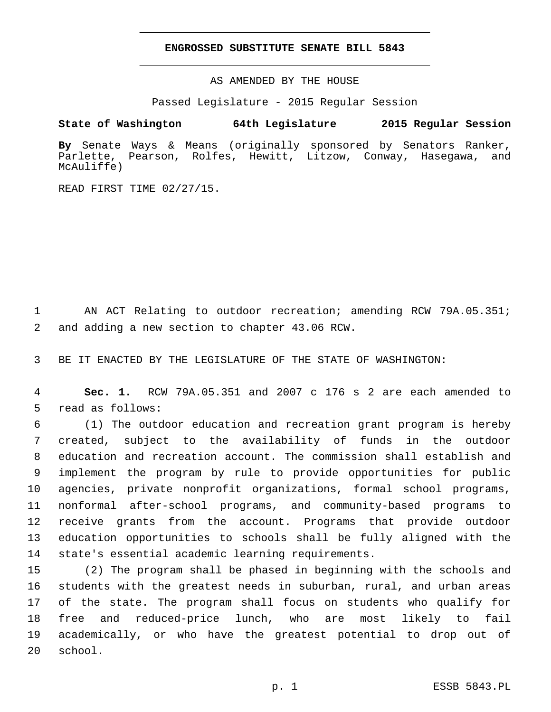## **ENGROSSED SUBSTITUTE SENATE BILL 5843**

AS AMENDED BY THE HOUSE

Passed Legislature - 2015 Regular Session

## **State of Washington 64th Legislature 2015 Regular Session**

**By** Senate Ways & Means (originally sponsored by Senators Ranker, Parlette, Pearson, Rolfes, Hewitt, Litzow, Conway, Hasegawa, and McAuliffe)

READ FIRST TIME 02/27/15.

1 AN ACT Relating to outdoor recreation; amending RCW 79A.05.351; 2 and adding a new section to chapter 43.06 RCW.

3 BE IT ENACTED BY THE LEGISLATURE OF THE STATE OF WASHINGTON:

4 **Sec. 1.** RCW 79A.05.351 and 2007 c 176 s 2 are each amended to 5 read as follows:

 (1) The outdoor education and recreation grant program is hereby created, subject to the availability of funds in the outdoor education and recreation account. The commission shall establish and implement the program by rule to provide opportunities for public agencies, private nonprofit organizations, formal school programs, nonformal after-school programs, and community-based programs to receive grants from the account. Programs that provide outdoor education opportunities to schools shall be fully aligned with the 14 state's essential academic learning requirements.

 (2) The program shall be phased in beginning with the schools and students with the greatest needs in suburban, rural, and urban areas of the state. The program shall focus on students who qualify for free and reduced-price lunch, who are most likely to fail academically, or who have the greatest potential to drop out of 20 school.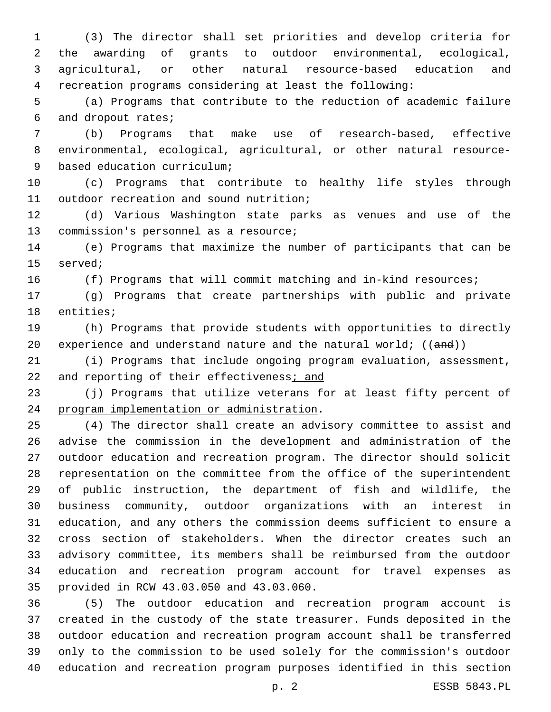(3) The director shall set priorities and develop criteria for the awarding of grants to outdoor environmental, ecological, agricultural, or other natural resource-based education and recreation programs considering at least the following:

 (a) Programs that contribute to the reduction of academic failure 6 and dropout rates;

 (b) Programs that make use of research-based, effective environmental, ecological, agricultural, or other natural resource-9 based education curriculum;

 (c) Programs that contribute to healthy life styles through 11 outdoor recreation and sound nutrition;

 (d) Various Washington state parks as venues and use of the 13 commission's personnel as a resource;

 (e) Programs that maximize the number of participants that can be 15 served;

(f) Programs that will commit matching and in-kind resources;

 (g) Programs that create partnerships with public and private 18 entities;

 (h) Programs that provide students with opportunities to directly 20 experience and understand nature and the natural world;  $((and))$ 

 (i) Programs that include ongoing program evaluation, assessment, 22 and reporting of their effectiveness; and

23 (j) Programs that utilize veterans for at least fifty percent of 24 program implementation or administration.

 (4) The director shall create an advisory committee to assist and advise the commission in the development and administration of the outdoor education and recreation program. The director should solicit representation on the committee from the office of the superintendent of public instruction, the department of fish and wildlife, the business community, outdoor organizations with an interest in education, and any others the commission deems sufficient to ensure a cross section of stakeholders. When the director creates such an advisory committee, its members shall be reimbursed from the outdoor education and recreation program account for travel expenses as 35 provided in RCW 43.03.050 and 43.03.060.

 (5) The outdoor education and recreation program account is created in the custody of the state treasurer. Funds deposited in the outdoor education and recreation program account shall be transferred only to the commission to be used solely for the commission's outdoor education and recreation program purposes identified in this section